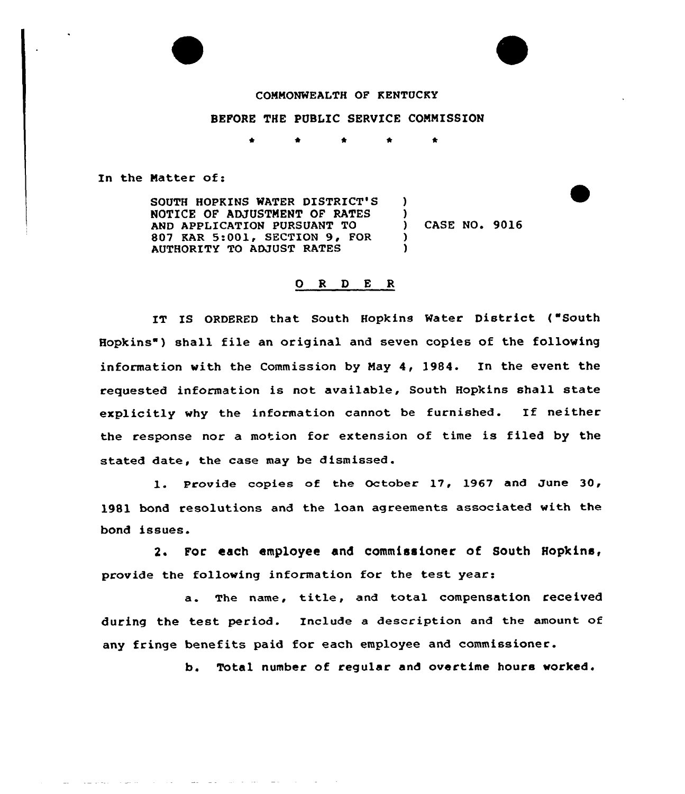## COMMONMEALTH OF KENTUCKY

## BEFORE THE PUBLIC SERVICE COMMISSION

 $\mathbf{I}$  $\left\{ \begin{array}{c} 1 \\ 2 \end{array} \right\}$ 

)  $\lambda$ 

In the Natter of:

SOUTH HOPKINS WATER DISTRICT'S NOTICE OF ADJUSTMENT OF RATES AND APPLICATION PURSUANT TO 807 KAR 5:001, SECTION 9, FOR AUTHORITY TO ADJUST RATES

) CASE NO« 9016

### 0 R <sup>D</sup> E R

IT IS ORDERED that South Hopkins Water District ("South Hopkins ) shall file an original and seven copies of the following information with the Commission by May 4, l984. In the event the requested information is not available, South Hopkins shall state explicitly why the information cannot be furnished. If neither the response nor a motion for extension of time is filed by the stated date, the case may be dismissed.

1. Provide copies of the October 17, 1967 and June 30, 1981 bond resolutions and the loan agreements associated with the bond issues.

2. For each employee and commissioner of South Hopkins, provide the following information for the test year:

a. The name, title, and total compensation received during the test period. Include a description and the amount of any fringe benefits paid for each employee and commissioner.

b. Total number of regular and overtime hours worked.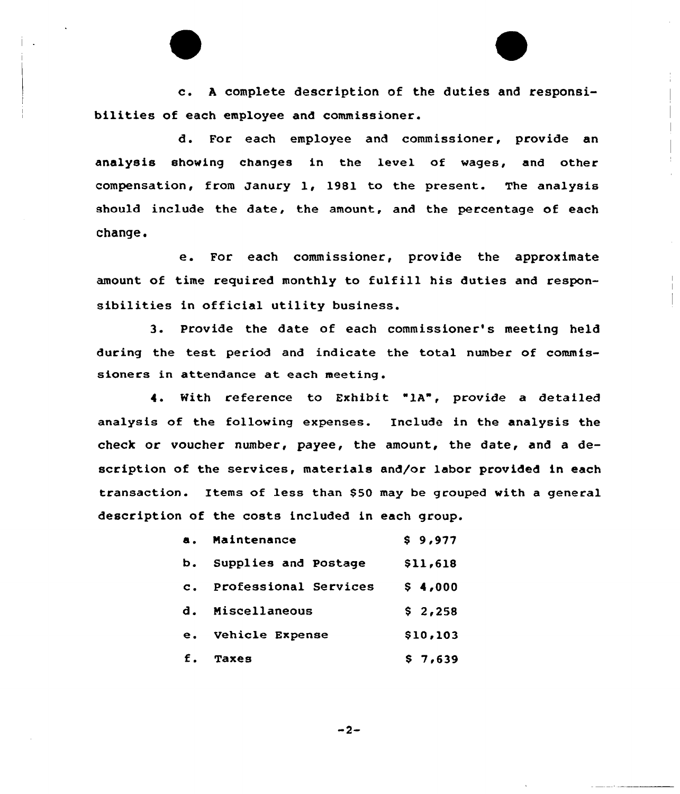c. <sup>A</sup> complete description of the duties and responsibilities of each employee and commissioner.

d. For each employee and commissioner, provide an analysis showing changes in the level of wages, and other compensation, from Janury 1, 1981 to the present. The analysis should include the date, the amount, and the percentage of each change.

e. For each commissioner, provide the approximate amount of time required monthly to fulfill his duties and responsibilities in official utility business.

3. Provide the date of each commissioner's meeting held during the test period and indicate the total number of commissioners in attendance at each meeting .

4. Kith reference to Exhibit "lA", provide a detailed analysis of the following expenses. Include in the analysis the check or voucher number, payee, the amount, the date, and a description of the services, materials and/or labor provided in each transaction. Items of less than \$50 may be grouped with a general description of the costs included in each group.

| а.             | Maintenance           | \$9,977  |  |  |  |  |
|----------------|-----------------------|----------|--|--|--|--|
| b.             | Supplies and Postage  | \$11,618 |  |  |  |  |
| $\mathbf{c}$ . | Professional Services | \$4,000  |  |  |  |  |
| d.             | Miscellaneous         | \$2,258  |  |  |  |  |
| е.             | Vehicle Expense       | \$10,103 |  |  |  |  |
| f.             | Taxes                 | \$7.639  |  |  |  |  |

 $-2-$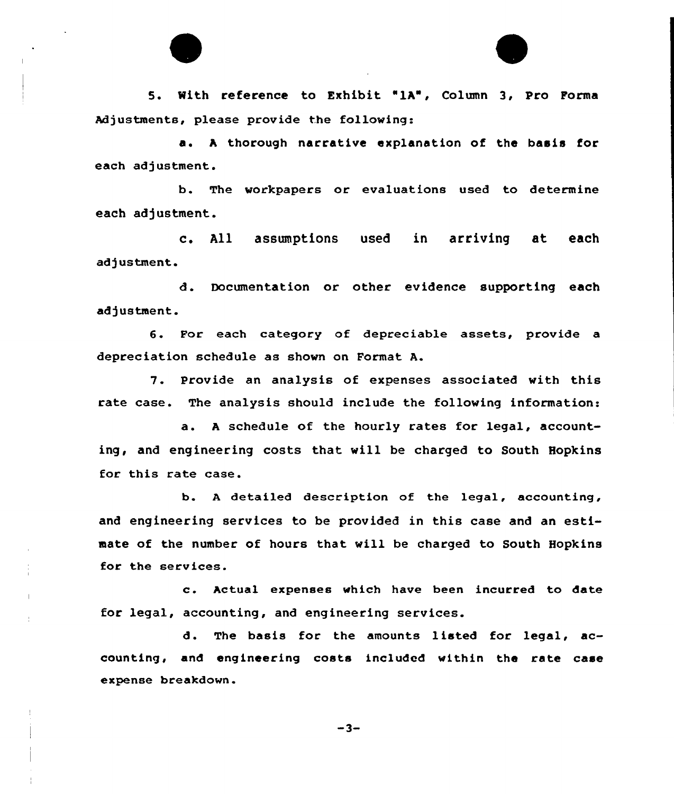5. With reference to Exhibit "1A", Column 3, Pro Forma Adjustments, please provide the following:

a. <sup>h</sup> thorough narrative explanation of the basis for each adjustment.

b. The workpapers or evaluations used to determine each adjustment.

c. All assumptions used in arriving et each adjustment.

d. Documentation or other evidence supporting each adjustment.

6. For each category of depreciable assets, provide <sup>a</sup> depreciation schedule as shown on Format A.

7. Provide an analysis of expenses associated with this rate case. The analysis should include the following information:

a. <sup>A</sup> schedule of the hourly rates for legal, accounting, and engineering costs that will be charged to South Hopkins for this rate case.

b. <sup>A</sup> detailed description of the legal, accounting, and engineering services to be provided in this case and an estimate of the number of hours that, will be charged to South Hopkins for the services.

c. Actual expenses which have been incurred to date for legal, accounting, and engineering services.

 $\mathbf{I}$ 

d. The basis for the amounts listed for legal, accounting, and engineering costs included within the rate case expense breakdown.

 $-3-$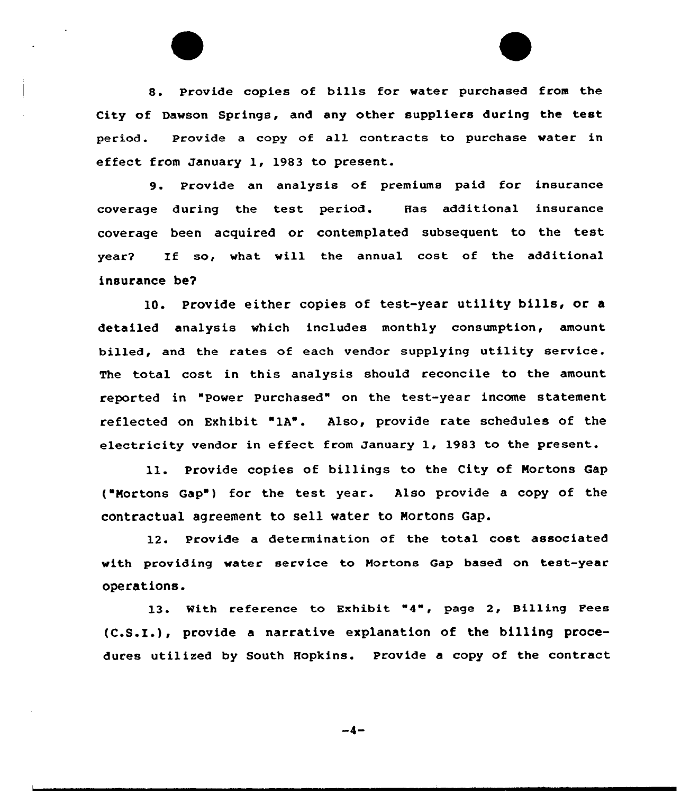8. Provide copies of bills for water purchased from the City of Dawson Springs, and any other suppliers during the test period. Provide a copy of all contracts to purchase water in effect from January 1, 1983 to present.

9. Provide an analysis of premiums paid for insurance coverage during the test period. Has additional insurance coverage been acquired or contemplated subsequent to the test year2 If so, what will the annual cost of the additional insurance be?

10. Provide either copies of test-year utility bills, or <sup>a</sup> detailed analysis which includes monthly consumption, amount billed, and the rates of each vendor supplying utility service. The total cost in this analysis should reconcile to the amount reported in "Power Purchased" on the test-year income statement, reflected on Exhibit "lA". Also, provide rate schedules of the electricity vendor in effect from January 1, 1983 to the present.

ll. Provide copies of billings to the City of Mortons Cap ("Mortons Gap") for the test year. Also provide a copy of the contractual agreement to sell water to Mortons Gap.

12. Provide a determination of the total cost associated with providing water service to Mortons Gap based on test-year operations.

13. With reference to Exhibit "4", page 2, Billing Fees (C.S.I.), provide <sup>a</sup> narrative explanation of the billing procedures utilized by South Hopkins. Provide a copy of the contract

$$
-4-
$$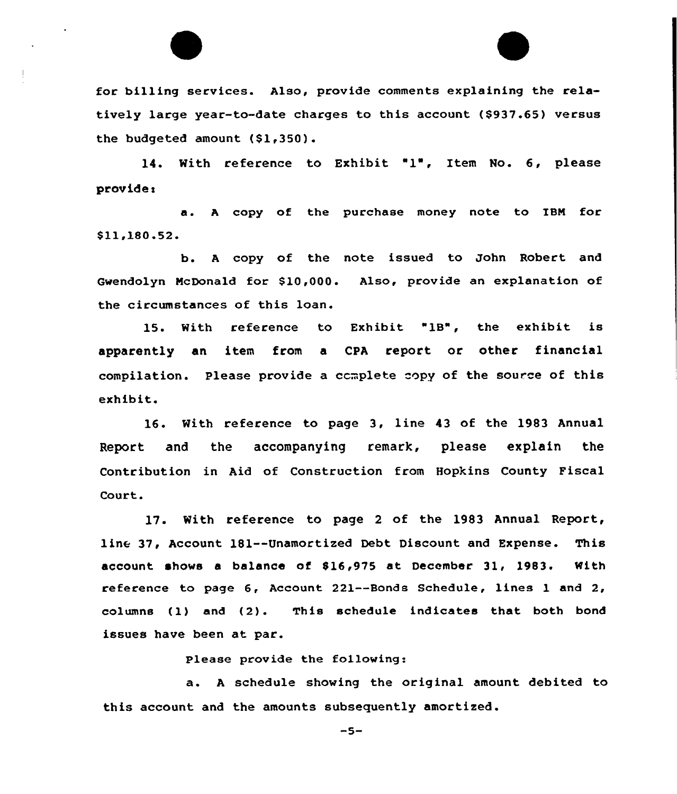

14. With reference to Exhibit "1', Item No. 6, please provide <sup>s</sup>

a. <sup>A</sup> copy of the purchase money note to IBM for \$ 11,180.52.

b. <sup>A</sup> copy of the note issued to John Robert and Gwendolyn McDonald for \$10,000. Also, provide an explanation of the circumstances of this loan.

15. With reference to Exhibit "1B", the exhibit is apparently an item from a CPA report or other financial compilation. Please provide a complete copy of the source of this exhibit.

16. With reference to page 3, line 43 of the 1983 Annual Report and the accompanying remark, please explain the Contribution in Aid of Construction from Hopkins County Fiscal Court.

17. With reference to page <sup>2</sup> of the 1983 Annual Report, line 37, Account 181--Unamortized Debt Discount and Expense. This account shows a balance of \$16,975 at December 31, 1983. With reference to page 6, Account 221--Bonds Schedule, lines 1 and 2, columns (1) and (2). This schedule indicates that both bond issues have been at par.

Please provide the following:

a. <sup>A</sup> schedule showing the original amount debited to this account and the amounts subsequently amortized.

 $-5-$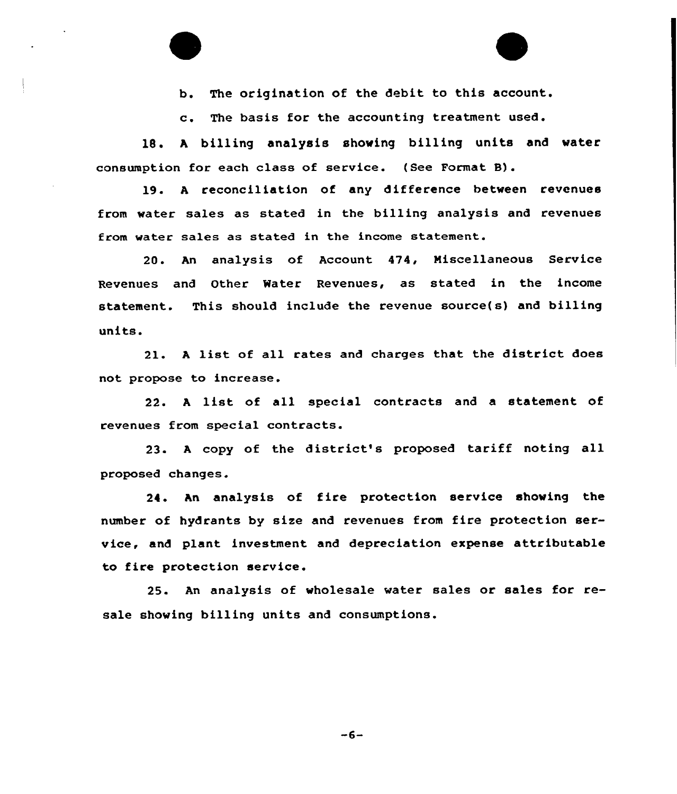b. The origination of the debit to this account.

c. The basis for the accounting treatment used.

18. <sup>A</sup> billing analysis showing billing units and water consumption for each class of service. (See Format B}.

19. A reconciliation of any difference between revenues from water sales as stated in the billing analysis and revenues from water sales as stated in the income statement.

20. An analysis of Account 474, Miscellaneous Service Revenues and Other Water Revenues, as stated in the income statement. This should include the revenue source(s) and billing units.

2l. <sup>A</sup> list of all rates and charges that the district does not propose to increase.

22. <sup>A</sup> list of all special contracts and <sup>a</sup> statement of revenues from special contracts.

23. <sup>A</sup> copy of the district's proposed tariff noting all proposed changes.

24. An analysis of fire protection service showing the number of hydrants by size and revenues from fire protection service, and plant investment and depreciation expense attributable to fire protection service.

25. An analysis of wholesale water sales or sales for resale showing billing units and consumptions.

 $-6-$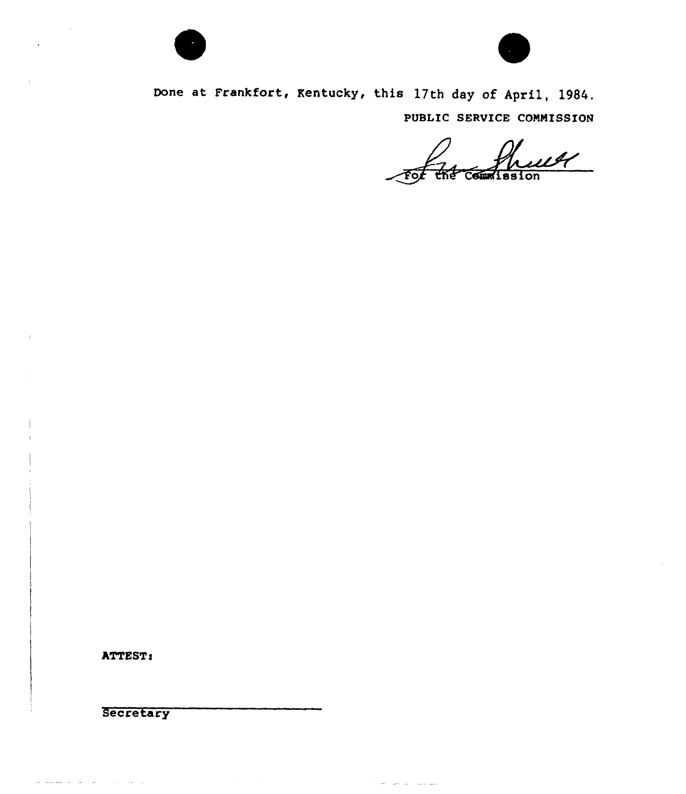



Done at Frankfort, Rentucky, this 17th day of April, 1984. PUBLIC SERVICE COMMISSION

 $\alpha_{\rm{eff}}$  and  $\alpha_{\rm{eff}}$  are the second contract of

 $\mathcal{L}$ For the Counission

ATTEST:

**Secretary** 

المراجل والرابات القراط للمسترط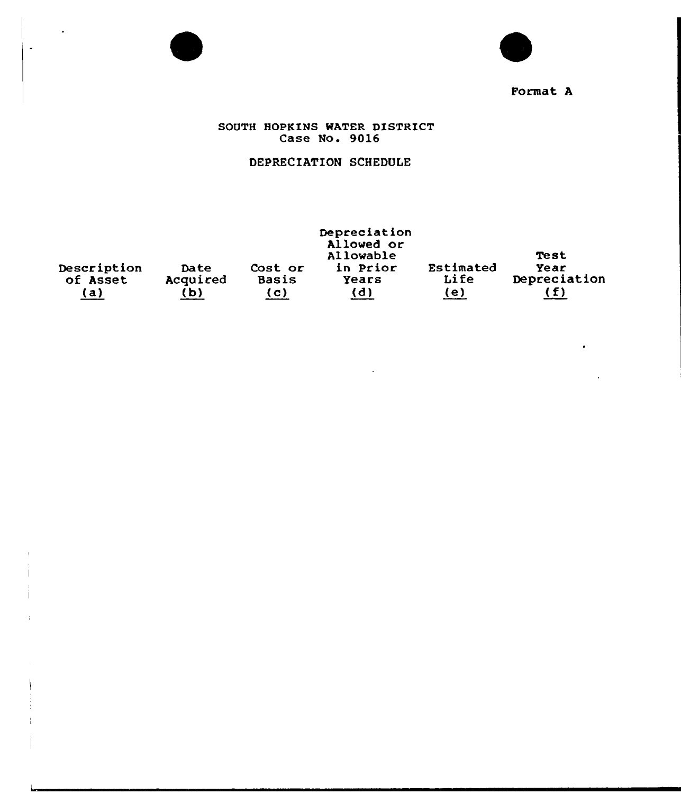

 $\ddot{\phantom{a}}$ 

 $\bullet$ 



# Format <sup>A</sup>

## SOUTH HOPKINS WATER DISTRICT Case No. 9016

# DEPRECIATION SCHEDULE

| Description<br>of Asset<br>(a) | Date<br>Acquired<br>(b | Cost or<br><b>Basis</b><br>(c) | Depreciation<br>Allowed or<br>Allowable<br>in Prior<br>Years<br>(d) | Estimated<br>Life<br>(e) | Test<br>Year<br>Depreciation<br>(f) |
|--------------------------------|------------------------|--------------------------------|---------------------------------------------------------------------|--------------------------|-------------------------------------|
|                                |                        |                                |                                                                     |                          |                                     |

 $\mathcal{L}$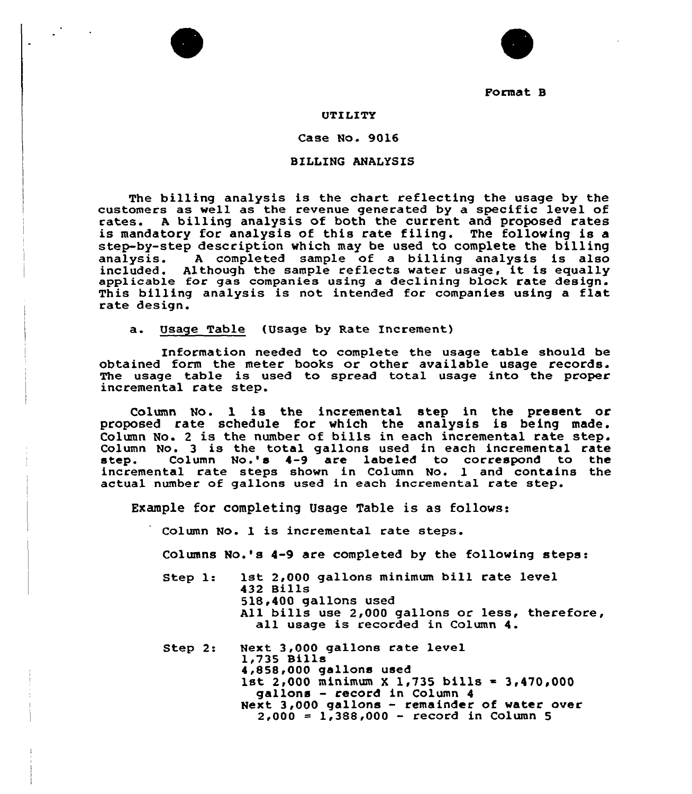

Format B

### UTILITY

#### Case No. 9016

### BILLING ANALYSIS

The billing analysis is the chart reflecting the usage by the customers as well as the revenue generated by a specific level of rates. A billing analysis of both the current and proposed rates is mandatory for analysis of this rate filing. The following is a step-by-step description which may be used to complete the billing analysis. <sup>A</sup> completed sample of a billing analysis is also included. Although the sample reflects water usage, it is equally applicable for gas companies using <sup>a</sup> declining block rate design. This billing analysis is not intended for companies using a flat rate design.

a. Usage Table (Usage by Rate Increment)

Information needed to complete the usage table should be obtained form the meter books or other available usage records. The usage table is used to spread total usage into the proper incremental rate step.

Column No. 1 is the incremental step in the present or proposed rate schedule for which the analysis is being made. Column No. <sup>2</sup> is the number of bills in each incremental rate step. Column No. <sup>3</sup> is the total gallons used in each incremental rate step. Column No. 's 4-9 are labeled to correspond to the incremental rate steps shown in Column No. 1 and contains the actual number of gallons used in each incremental rate step.

Example for completing Usage Table is as follows:

Column No. 1 is incremental rate steps.

Columns No.'s 4-9 are completed by the following steps:

Step 1: 1st 2,000 gallons minimum bill rate level 432 Bills 518,400 gallons used All bills use 2,000 gallons or less, therefore, all usage is recorded in Column 4.

Step 2: Next 3,000 gallons rate level  $1,735$  Bills<br> $4,858,000$  gallons used 1st 2,000 minimum X 1,735 bills = 3,470,000 gallons — record in Column 4 Next 3,000 gallons — remainder of water over  $2,000 = 1,388,000 - record in Column 5$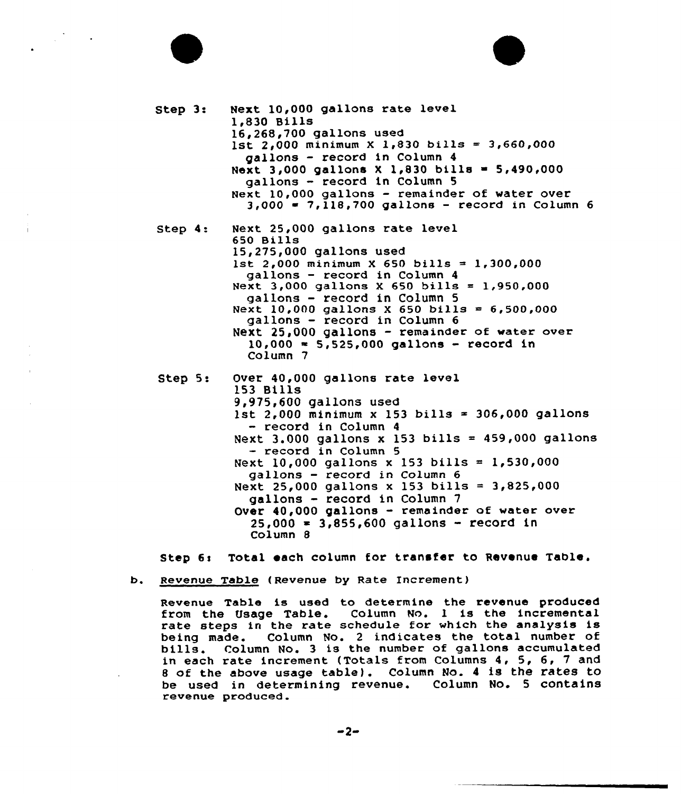# Step 3: Next 10,000 gallons rate level 1,830 Bills 16,268,700 gallons used 1st 2,000 minimum X 1,830 bills = 3,660,000 gallons — record in Column 4 Next 3,000 gallons <sup>X</sup> 1,830 bills <sup>~</sup> 5,490,000 gallons — record in Column 5 Next 10,000 gallons — remainder of water over  $3,000 = 7,118,700$  gallons - record in Column 6 Step 4: Next 25,000 gallons rate level 650 Bills 15,275,000 gallons used 1st 2,000 minimum X 650 bills = 1,300,000 gallons — record in Column <sup>4</sup> Next 3,000 gallons X 650 bills = 1,950,000 gallons — record in Column 5 Next 10,000 gallons X 650 bills =  $6,500,000$ gallons — record in Column 6 Next  $25,000$  gallons - remainder of water over  $10,000 = 5,525,000$  gallons - record in Column 7 Step 5: Over 40,000 gallons rate level 153 Bills 9,975,600 gallons used 1st 2,000 minimum x 153 bills = 306,000 gallons - record in Column 4 Next 3.000 gallons x 153 bills =  $459,000$  gallons - record in Column 5 Next 10,000 gallons x 153 bills =  $1,530,000$ gallons — record in Column 6

Next 25,000 gallons <sup>x</sup> 153 bills <sup>=</sup> 3,825,000 gallons - record in Column <sup>7</sup> Over 40,000 gallons - remainder of water over  $25,000 = 3,855,600$  gallons - record in Column 8

Step 6: Total each column for transfer to Revenue Table.

b. Revenue Table (Revenue by Rate Increment)

Revenue Table is used to determine the revenue produced from the Usage Table. Column No. 1 is the incremental rate steps in the rate schedule for which the analysis is<br>being made. Column No. 2 indicates the total number of being made. Column No. <sup>2</sup> indicates the total number of bills. Column No. <sup>3</sup> is the number of gallons accumulated in each rate increment (Totals from Columns 4, 5, 6, 7 and <sup>8</sup> of the above usage table). Column No. <sup>4</sup> is the rates to be used in determining revenue. Column No. 5 contains revenue produced.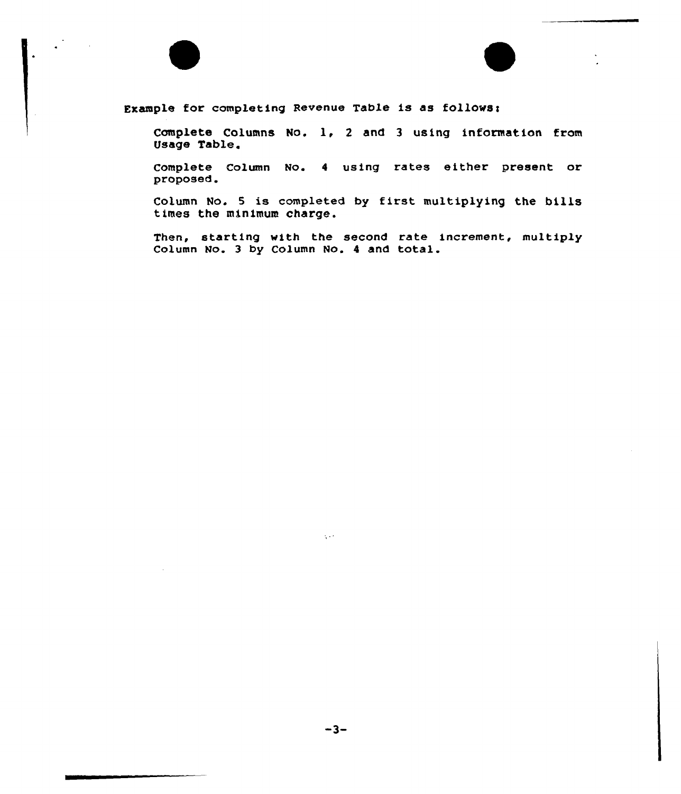



Complete Columns No. 1, <sup>2</sup> and <sup>3</sup> using information from Usage Table.

Complete Column No. <sup>4</sup> using rates either present or proposed.

Column No. <sup>5</sup> is completed by first multiplying the bills times the minimum charge.

Then, starting with the second rate increment, multiply Column No. <sup>3</sup> by Column No. <sup>4</sup> and total.

 $-3-$ 

 $\chi$  and